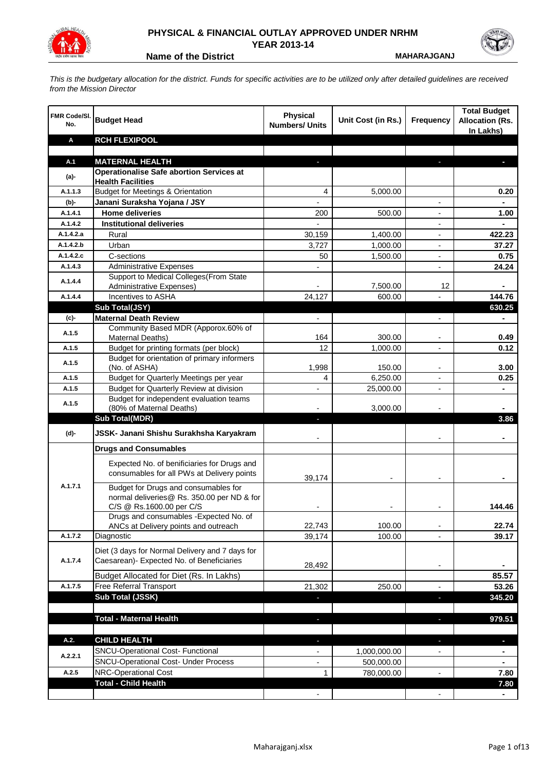

## **PHYSICAL & FINANCIAL OUTLAY APPROVED UNDER NRHM YEAR 2013-14**

**Name of the District MAHARAJGANJ** 

*This is the budgetary allocation for the district. Funds for specific activities are to be utilized only after detailed guidelines are received from the Mission Director*

| <b>FMR Code/SI.</b><br>No. | <b>Budget Head</b>                                                       | <b>Physical</b><br><b>Numbers/ Units</b> | Unit Cost (in Rs.) | Frequency                | <b>Total Budget</b><br><b>Allocation (Rs.</b><br>In Lakhs) |
|----------------------------|--------------------------------------------------------------------------|------------------------------------------|--------------------|--------------------------|------------------------------------------------------------|
| Α                          | <b>RCH FLEXIPOOL</b>                                                     |                                          |                    |                          |                                                            |
|                            |                                                                          |                                          |                    |                          |                                                            |
| A.1                        | <b>MATERNAL HEALTH</b>                                                   |                                          |                    |                          |                                                            |
| $(a)$ -                    | <b>Operationalise Safe abortion Services at</b>                          |                                          |                    |                          |                                                            |
| A.1.1.3                    | <b>Health Facilities</b><br><b>Budget for Meetings &amp; Orientation</b> |                                          |                    |                          |                                                            |
|                            |                                                                          | 4                                        | 5,000.00           |                          | 0.20                                                       |
| (b)-<br>A.1.4.1            | Janani Suraksha Yojana / JSY<br><b>Home deliveries</b>                   | 200                                      | 500.00             |                          | 1.00                                                       |
| A.1.4.2                    | <b>Institutional deliveries</b>                                          |                                          |                    |                          |                                                            |
| A.1.4.2.a                  | Rural                                                                    | 30,159                                   | 1,400.00           |                          | 422.23                                                     |
| A.1.4.2.b                  | Urban                                                                    | 3,727                                    | 1,000.00           |                          | 37.27                                                      |
| A.1.4.2.c                  | C-sections                                                               | 50                                       | 1,500.00           |                          | 0.75                                                       |
| A.1.4.3                    | <b>Administrative Expenses</b>                                           |                                          |                    | $\overline{a}$           | 24.24                                                      |
|                            | Support to Medical Colleges (From State                                  |                                          |                    |                          |                                                            |
| A.1.4.4                    | <b>Administrative Expenses)</b>                                          |                                          | 7,500.00           | 12                       |                                                            |
| A.1.4.4                    | Incentives to ASHA                                                       | 24,127                                   | 600.00             |                          | 144.76                                                     |
|                            | Sub Total(JSY)                                                           |                                          |                    |                          | 630.25                                                     |
| $(c)$ -                    | <b>Maternal Death Review</b>                                             | $\overline{\phantom{a}}$                 |                    | $\overline{\phantom{a}}$ | $\blacksquare$                                             |
|                            | Community Based MDR (Apporox.60% of                                      |                                          |                    |                          |                                                            |
| A.1.5                      | Maternal Deaths)                                                         | 164                                      | 300.00             | $\overline{\phantom{a}}$ | 0.49                                                       |
| A.1.5                      | Budget for printing formats (per block)                                  | 12                                       | 1,000.00           |                          | 0.12                                                       |
| A.1.5                      | Budget for orientation of primary informers                              |                                          |                    |                          |                                                            |
|                            | (No. of ASHA)                                                            | 1,998                                    | 150.00             | -                        | 3.00                                                       |
| A.1.5                      | Budget for Quarterly Meetings per year                                   | 4                                        | 6,250.00           |                          | 0.25                                                       |
| A.1.5                      | Budget for Quarterly Review at division                                  | $\overline{\phantom{a}}$                 | 25,000.00          |                          |                                                            |
| A.1.5                      | Budget for independent evaluation teams<br>(80% of Maternal Deaths)      |                                          | 3,000.00           |                          |                                                            |
|                            | <b>Sub Total(MDR)</b>                                                    | H,                                       |                    |                          | 3.86                                                       |
|                            |                                                                          |                                          |                    |                          |                                                            |
| (d)-                       | JSSK- Janani Shishu Surakhsha Karyakram                                  |                                          |                    |                          |                                                            |
|                            | <b>Drugs and Consumables</b>                                             |                                          |                    |                          |                                                            |
|                            | Expected No. of benificiaries for Drugs and                              |                                          |                    |                          |                                                            |
|                            | consumables for all PWs at Delivery points                               | 39,174                                   |                    |                          |                                                            |
| A.1.7.1                    | Budget for Drugs and consumables for                                     |                                          |                    |                          |                                                            |
|                            | normal deliveries@ Rs. 350.00 per ND & for                               |                                          |                    |                          |                                                            |
|                            | C/S @ Rs.1600.00 per C/S                                                 |                                          |                    |                          | 144.46                                                     |
|                            | Drugs and consumables - Expected No. of                                  |                                          |                    |                          |                                                            |
|                            | ANCs at Delivery points and outreach                                     | 22,743                                   | 100.00             |                          | 22.74                                                      |
| A.1.7.2                    | Diagnostic                                                               | 39,174                                   | 100.00             |                          | 39.17                                                      |
|                            | Diet (3 days for Normal Delivery and 7 days for                          |                                          |                    |                          |                                                            |
| A.1.7.4                    | Caesarean)- Expected No. of Beneficiaries                                |                                          |                    |                          |                                                            |
|                            |                                                                          | 28,492                                   |                    | $\blacksquare$           | 85.57                                                      |
| A.1.7.5                    | Budget Allocated for Diet (Rs. In Lakhs)<br>Free Referral Transport      |                                          |                    | ٠                        |                                                            |
|                            | Sub Total (JSSK)                                                         | 21,302                                   | 250.00             |                          | 53.26<br>345.20                                            |
|                            |                                                                          |                                          |                    | ×                        |                                                            |
|                            | <b>Total - Maternal Health</b>                                           | $\blacksquare$                           |                    | P.                       | 979.51                                                     |
|                            |                                                                          |                                          |                    |                          |                                                            |
| A.2.                       | <b>CHILD HEALTH</b>                                                      |                                          |                    |                          | J,                                                         |
|                            | SNCU-Operational Cost- Functional                                        |                                          | 1,000,000.00       |                          |                                                            |
| A.2.2.1                    | <b>SNCU-Operational Cost- Under Process</b>                              |                                          | 500,000.00         |                          |                                                            |
| A.2.5                      | <b>NRC-Operational Cost</b>                                              | 1                                        | 780,000.00         |                          | 7.80                                                       |
|                            | <b>Total - Child Health</b>                                              |                                          |                    |                          | 7.80                                                       |
|                            |                                                                          |                                          |                    |                          |                                                            |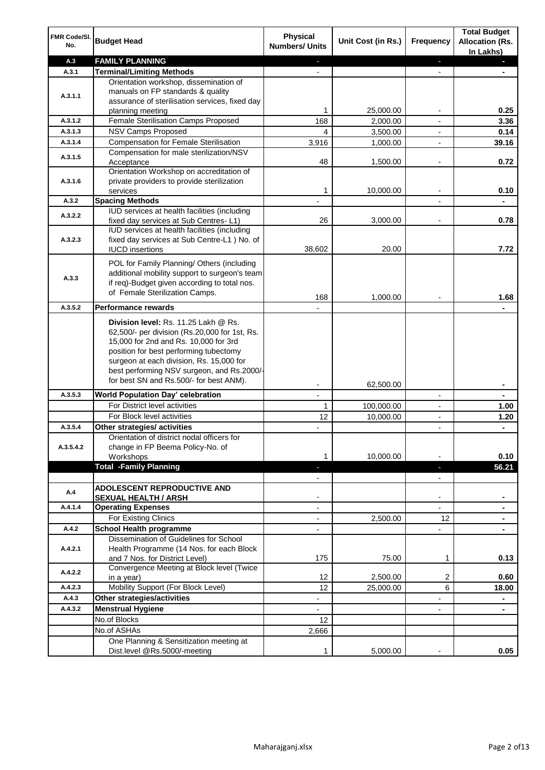| FMR Code/SI.<br>No. | <b>Budget Head</b>                                                                                                                                                                                                                                                 | <b>Physical</b><br><b>Numbers/ Units</b>             | Unit Cost (in Rs.)    | <b>Frequency</b>         | <b>Total Budget</b><br><b>Allocation (Rs.</b><br>In Lakhs) |
|---------------------|--------------------------------------------------------------------------------------------------------------------------------------------------------------------------------------------------------------------------------------------------------------------|------------------------------------------------------|-----------------------|--------------------------|------------------------------------------------------------|
| A.3                 | <b>FAMILY PLANNING</b>                                                                                                                                                                                                                                             | $\overline{\phantom{a}}$                             |                       | ÷.                       | a.                                                         |
| A.3.1               | <b>Terminal/Limiting Methods</b>                                                                                                                                                                                                                                   |                                                      |                       | $\blacksquare$           |                                                            |
|                     | Orientation workshop, dissemination of                                                                                                                                                                                                                             |                                                      |                       |                          |                                                            |
| A.3.1.1             | manuals on FP standards & quality                                                                                                                                                                                                                                  |                                                      |                       |                          |                                                            |
|                     | assurance of sterilisation services, fixed day                                                                                                                                                                                                                     | 1                                                    |                       | $\overline{\phantom{a}}$ | 0.25                                                       |
| A.3.1.2             | planning meeting<br>Female Sterilisation Camps Proposed                                                                                                                                                                                                            | 168                                                  | 25,000.00<br>2,000.00 | $\overline{\phantom{a}}$ | 3.36                                                       |
| A.3.1.3             | <b>NSV Camps Proposed</b>                                                                                                                                                                                                                                          | 4                                                    | 3,500.00              | $\overline{\phantom{a}}$ | 0.14                                                       |
| A.3.1.4             | <b>Compensation for Female Sterilisation</b>                                                                                                                                                                                                                       | 3,916                                                | 1,000.00              |                          | 39.16                                                      |
|                     | Compensation for male sterilization/NSV                                                                                                                                                                                                                            |                                                      |                       |                          |                                                            |
| A.3.1.5             | Acceptance                                                                                                                                                                                                                                                         | 48                                                   | 1,500.00              |                          | 0.72                                                       |
|                     | Orientation Workshop on accreditation of                                                                                                                                                                                                                           |                                                      |                       |                          |                                                            |
| A.3.1.6             | private providers to provide sterilization                                                                                                                                                                                                                         |                                                      |                       |                          |                                                            |
|                     | services                                                                                                                                                                                                                                                           | 1                                                    | 10,000.00             |                          | 0.10                                                       |
| A.3.2               | <b>Spacing Methods</b>                                                                                                                                                                                                                                             |                                                      |                       |                          |                                                            |
| A.3.2.2             | IUD services at health facilities (including                                                                                                                                                                                                                       |                                                      |                       |                          |                                                            |
|                     | fixed day services at Sub Centres-L1)                                                                                                                                                                                                                              | 26                                                   | 3,000.00              | $\overline{\phantom{a}}$ | 0.78                                                       |
|                     | IUD services at health facilities (including                                                                                                                                                                                                                       |                                                      |                       |                          |                                                            |
| A.3.2.3             | fixed day services at Sub Centre-L1 ) No. of<br><b>IUCD</b> insertions                                                                                                                                                                                             | 38,602                                               | 20.00                 |                          | 7.72                                                       |
|                     |                                                                                                                                                                                                                                                                    |                                                      |                       |                          |                                                            |
|                     | POL for Family Planning/ Others (including                                                                                                                                                                                                                         |                                                      |                       |                          |                                                            |
| A.3.3               | additional mobility support to surgeon's team                                                                                                                                                                                                                      |                                                      |                       |                          |                                                            |
|                     | if req)-Budget given according to total nos.                                                                                                                                                                                                                       |                                                      |                       |                          |                                                            |
|                     | of Female Sterilization Camps.                                                                                                                                                                                                                                     | 168                                                  | 1,000.00              |                          | 1.68                                                       |
| A.3.5.2             | <b>Performance rewards</b>                                                                                                                                                                                                                                         |                                                      |                       |                          |                                                            |
|                     | Division level: Rs. 11.25 Lakh @ Rs.<br>62,500/- per division (Rs.20,000 for 1st, Rs.<br>15,000 for 2nd and Rs. 10,000 for 3rd<br>position for best performing tubectomy<br>surgeon at each division, Rs. 15,000 for<br>best performing NSV surgeon, and Rs.2000/- |                                                      |                       |                          |                                                            |
|                     | for best SN and Rs.500/- for best ANM).                                                                                                                                                                                                                            |                                                      |                       |                          |                                                            |
| A.3.5.3             | <b>World Population Day' celebration</b>                                                                                                                                                                                                                           | $\overline{\phantom{a}}$<br>$\overline{\phantom{a}}$ | 62,500.00             | $\overline{\phantom{a}}$ | ٠<br>۰                                                     |
|                     | For District level activities                                                                                                                                                                                                                                      | 1                                                    | 100,000.00            | $\overline{\phantom{a}}$ | 1.00                                                       |
|                     | For Block level activities                                                                                                                                                                                                                                         | 12                                                   | 10,000.00             |                          | 1.20                                                       |
| A.3.5.4             | Other strategies/ activities                                                                                                                                                                                                                                       |                                                      |                       | $\overline{\phantom{a}}$ | ÷.                                                         |
|                     | Orientation of district nodal officers for                                                                                                                                                                                                                         |                                                      |                       |                          |                                                            |
| A.3.5.4.2           | change in FP Beema Policy-No. of                                                                                                                                                                                                                                   |                                                      |                       |                          |                                                            |
|                     | Workshops                                                                                                                                                                                                                                                          | 1                                                    | 10,000.00             |                          | 0.10                                                       |
|                     | <b>Total -Family Planning</b>                                                                                                                                                                                                                                      | ÷.                                                   |                       | P.                       | 56.21                                                      |
|                     |                                                                                                                                                                                                                                                                    | $\overline{\phantom{a}}$                             |                       | $\overline{\phantom{a}}$ |                                                            |
| A.4                 | <b>ADOLESCENT REPRODUCTIVE AND</b>                                                                                                                                                                                                                                 |                                                      |                       |                          |                                                            |
|                     | <b>SEXUAL HEALTH / ARSH</b>                                                                                                                                                                                                                                        |                                                      |                       | $\blacksquare$           |                                                            |
| A.4.1.4             | <b>Operating Expenses</b>                                                                                                                                                                                                                                          |                                                      |                       |                          |                                                            |
|                     | For Existing Clinics                                                                                                                                                                                                                                               |                                                      | 2,500.00              | 12                       |                                                            |
| A.4.2               | <b>School Health programme</b>                                                                                                                                                                                                                                     |                                                      |                       |                          |                                                            |
|                     | Dissemination of Guidelines for School                                                                                                                                                                                                                             |                                                      |                       |                          |                                                            |
| A.4.2.1             | Health Programme (14 Nos. for each Block                                                                                                                                                                                                                           | 175                                                  |                       |                          |                                                            |
|                     | and 7 Nos. for District Level)<br>Convergence Meeting at Block level (Twice                                                                                                                                                                                        |                                                      | 75.00                 | 1                        | 0.13                                                       |
| A.4.2.2             | in a year)                                                                                                                                                                                                                                                         | 12                                                   | 2,500.00              | 2                        | 0.60                                                       |
| A.4.2.3             | Mobility Support (For Block Level)                                                                                                                                                                                                                                 | 12                                                   | 25,000.00             | 6                        | 18.00                                                      |
| A.4.3               | Other strategies/activities                                                                                                                                                                                                                                        | -                                                    |                       | -                        | ۰                                                          |
| A.4.3.2             | <b>Menstrual Hygiene</b>                                                                                                                                                                                                                                           | $\overline{\phantom{a}}$                             |                       | $\blacksquare$           | $\blacksquare$                                             |
|                     | No.of Blocks                                                                                                                                                                                                                                                       | 12                                                   |                       |                          |                                                            |
|                     | No.of ASHAs                                                                                                                                                                                                                                                        | 2,666                                                |                       |                          |                                                            |
|                     | One Planning & Sensitization meeting at                                                                                                                                                                                                                            |                                                      |                       |                          |                                                            |
|                     | Dist.level @Rs.5000/-meeting                                                                                                                                                                                                                                       | 1                                                    | 5,000.00              |                          | 0.05                                                       |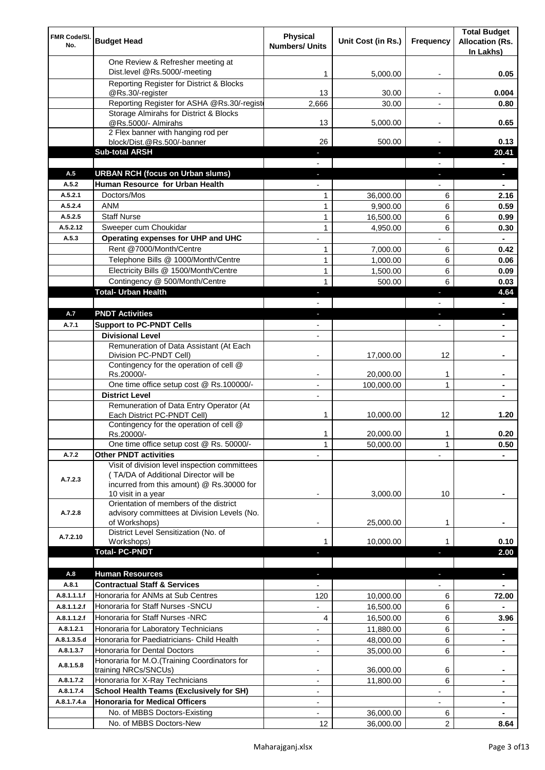| FMR Code/SI.<br>No.      | <b>Budget Head</b>                                                                 | Physical<br><b>Numbers/ Units</b> | Unit Cost (in Rs.)     | Frequency                | <b>Total Budget</b><br><b>Allocation (Rs.</b><br>In Lakhs) |
|--------------------------|------------------------------------------------------------------------------------|-----------------------------------|------------------------|--------------------------|------------------------------------------------------------|
|                          | One Review & Refresher meeting at                                                  |                                   |                        |                          |                                                            |
|                          | Dist.level @Rs.5000/-meeting                                                       | 1                                 | 5,000.00               |                          | 0.05                                                       |
|                          | Reporting Register for District & Blocks                                           |                                   |                        |                          |                                                            |
|                          | @Rs.30/-register                                                                   | 13                                | 30.00                  |                          | 0.004                                                      |
|                          | Reporting Register for ASHA @Rs.30/-regist                                         | 2,666                             | 30.00                  |                          | 0.80                                                       |
|                          | Storage Almirahs for District & Blocks<br>@Rs.5000/- Almirahs                      | 13                                | 5,000.00               | $\overline{\phantom{a}}$ | 0.65                                                       |
|                          | 2 Flex banner with hanging rod per                                                 |                                   |                        |                          |                                                            |
|                          | block/Dist.@Rs.500/-banner                                                         | 26                                | 500.00                 |                          | 0.13                                                       |
|                          | <b>Sub-total ARSH</b>                                                              | $\overline{\phantom{a}}$          |                        | $\sim$                   | 20.41                                                      |
|                          |                                                                                    |                                   |                        |                          |                                                            |
| A.5                      | <b>URBAN RCH (focus on Urban slums)</b>                                            |                                   |                        |                          | н.                                                         |
| A.5.2<br>A.5.2.1         | Human Resource for Urban Health<br>Doctors/Mos                                     | 1                                 |                        |                          | 2.16                                                       |
| A.5.2.4                  | <b>ANM</b>                                                                         | $\mathbf{1}$                      | 36,000.00<br>9,900.00  | 6<br>6                   | 0.59                                                       |
| A.5.2.5                  | <b>Staff Nurse</b>                                                                 | $\mathbf{1}$                      | 16,500.00              | 6                        | 0.99                                                       |
| A.5.2.12                 | Sweeper cum Choukidar                                                              | $\mathbf{1}$                      | 4,950.00               | 6                        | 0.30                                                       |
| A.5.3                    | Operating expenses for UHP and UHC                                                 |                                   |                        |                          | $\blacksquare$                                             |
|                          | Rent @7000/Month/Centre                                                            | 1                                 | 7,000.00               | 6                        | 0.42                                                       |
|                          | Telephone Bills @ 1000/Month/Centre                                                | $\mathbf{1}$                      | 1,000.00               | 6                        | 0.06                                                       |
|                          | Electricity Bills @ 1500/Month/Centre                                              | $\mathbf{1}$                      | 1,500.00               | 6                        | 0.09                                                       |
|                          | Contingency @ 500/Month/Centre                                                     | 1                                 | 500.00                 | 6                        | 0.03                                                       |
|                          | <b>Total- Urban Health</b>                                                         | $\bullet$                         |                        | ×                        | 4.64                                                       |
|                          |                                                                                    |                                   |                        |                          | $\blacksquare$                                             |
| A.7                      | <b>PNDT Activities</b>                                                             | ٠                                 |                        | ٠                        | ٠                                                          |
| A.7.1                    | <b>Support to PC-PNDT Cells</b><br><b>Divisional Level</b>                         | $\blacksquare$<br>$\blacksquare$  |                        | $\blacksquare$           | ٠                                                          |
|                          | Remuneration of Data Assistant (At Each                                            |                                   |                        |                          |                                                            |
|                          | Division PC-PNDT Cell)                                                             |                                   | 17,000.00              | 12                       |                                                            |
|                          | Contingency for the operation of cell @                                            |                                   |                        |                          |                                                            |
|                          | Rs.20000/-                                                                         |                                   | 20,000.00              | 1                        |                                                            |
|                          | One time office setup cost @ Rs.100000/-                                           |                                   | 100,000.00             | 1                        |                                                            |
|                          | <b>District Level</b><br>Remuneration of Data Entry Operator (At                   | $\overline{\phantom{a}}$          |                        |                          |                                                            |
|                          | Each District PC-PNDT Cell)                                                        | 1                                 | 10,000.00              | 12                       | 1.20                                                       |
|                          | Contingency for the operation of cell @                                            |                                   |                        |                          |                                                            |
|                          | Rs.20000/-                                                                         | 1                                 | 20,000.00              | 1                        | 0.20                                                       |
|                          | One time office setup cost @ Rs. 50000/-                                           | $\mathbf{1}$                      | 50,000.00              | 1                        | 0.50                                                       |
| A.7.2                    | <b>Other PNDT activities</b><br>Visit of division level inspection committees      |                                   |                        |                          |                                                            |
|                          | (TA/DA of Additional Director will be                                              |                                   |                        |                          |                                                            |
| A.7.2.3                  | incurred from this amount) @ Rs.30000 for                                          |                                   |                        |                          |                                                            |
|                          | 10 visit in a year                                                                 |                                   | 3,000.00               | 10                       |                                                            |
|                          | Orientation of members of the district                                             |                                   |                        |                          |                                                            |
| A.7.2.8                  | advisory committees at Division Levels (No.<br>of Workshops)                       | ۰                                 | 25,000.00              | 1                        |                                                            |
|                          | District Level Sensitization (No. of                                               |                                   |                        |                          |                                                            |
| A.7.2.10                 | Workshops)                                                                         |                                   | 10,000.00              |                          | 0.10                                                       |
|                          | <b>Total- PC-PNDT</b>                                                              |                                   |                        |                          | 2.00                                                       |
|                          |                                                                                    |                                   |                        |                          |                                                            |
| A.8                      | <b>Human Resources</b>                                                             |                                   |                        |                          | ÷.                                                         |
| A.8.1                    | <b>Contractual Staff &amp; Services</b>                                            |                                   |                        |                          |                                                            |
| A.8.1.1.1.f              | Honoraria for ANMs at Sub Centres                                                  | 120                               | 10,000.00              | 6                        | 72.00                                                      |
| A.8.1.1.2.f              | Honoraria for Staff Nurses - SNCU                                                  |                                   | 16,500.00              | 6                        |                                                            |
| A.8.1.1.2.f              | Honoraria for Staff Nurses -NRC                                                    | 4                                 | 16,500.00              | 6                        | 3.96                                                       |
| A.8.1.2.1<br>A.8.1.3.5.d | Honoraria for Laboratory Technicians<br>Honoraria for Paediatricians- Child Health |                                   | 11,880.00              | 6                        |                                                            |
| A.8.1.3.7                | Honoraria for Dental Doctors                                                       | $\overline{\phantom{a}}$          | 48,000.00<br>35,000.00 | 6<br>6                   |                                                            |
|                          | Honoraria for M.O.(Training Coordinators for                                       |                                   |                        |                          |                                                            |
| A.8.1.5.8                | training NRCs/SNCUs)                                                               |                                   | 36,000.00              | 6                        |                                                            |
| A.8.1.7.2                | Honoraria for X-Ray Technicians                                                    |                                   | 11,800.00              | 6                        |                                                            |
| A.8.1.7.4                | <b>School Health Teams (Exclusively for SH)</b>                                    |                                   |                        |                          | ۰                                                          |
| A.8.1.7.4.a              | <b>Honoraria for Medical Officers</b>                                              | $\blacksquare$                    |                        |                          | ۰                                                          |
|                          | No. of MBBS Doctors-Existing                                                       |                                   | 36,000.00              | 6                        |                                                            |
|                          | No. of MBBS Doctors-New                                                            | 12                                | 36,000.00              | $\overline{2}$           | 8.64                                                       |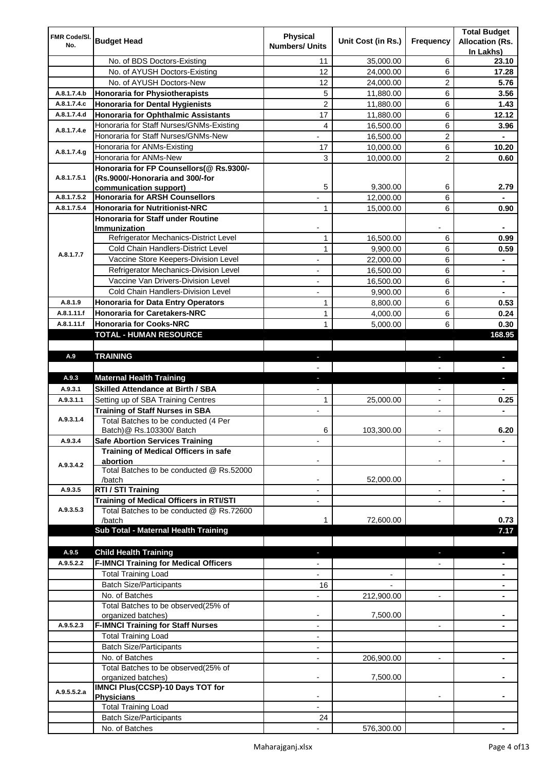| FMR Code/SI. |                                                                 | <b>Physical</b>          |                    |                          | <b>Total Budget</b>    |
|--------------|-----------------------------------------------------------------|--------------------------|--------------------|--------------------------|------------------------|
| No.          | <b>Budget Head</b>                                              | <b>Numbers/ Units</b>    | Unit Cost (in Rs.) | Frequency                | <b>Allocation (Rs.</b> |
|              |                                                                 |                          |                    |                          | In Lakhs)              |
|              | No. of BDS Doctors-Existing                                     | 11                       | 35,000.00          | 6                        | 23.10                  |
|              | No. of AYUSH Doctors-Existing                                   | 12                       | 24,000.00          | 6                        | 17.28                  |
|              | No. of AYUSH Doctors-New                                        | 12                       | 24,000.00          | 2                        | 5.76                   |
| A.8.1.7.4.b  | <b>Honoraria for Physiotherapists</b>                           | 5                        | 11,880.00          | 6                        | 3.56                   |
| A.8.1.7.4.c  | <b>Honoraria for Dental Hygienists</b>                          | $\overline{c}$           | 11,880.00          | 6                        | 1.43                   |
| A.8.1.7.4.d  | <b>Honoraria for Ophthalmic Assistants</b>                      | 17                       | 11,880.00          | 6                        | 12.12                  |
| A.8.1.7.4.e  | Honoraria for Staff Nurses/GNMs-Existing                        | 4                        | 16,500.00          | 6                        | 3.96                   |
|              | Honoraria for Staff Nurses/GNMs-New                             |                          | 16,500.00          | $\overline{c}$           |                        |
| A.8.1.7.4.g  | Honoraria for ANMs-Existing                                     | 17                       | 10,000.00          | 6                        | 10.20                  |
|              | Honoraria for ANMs-New                                          | 3                        | 10,000.00          | 2                        | 0.60                   |
|              | Honoraria for FP Counsellors(@ Rs.9300/-                        |                          |                    |                          |                        |
| A.8.1.7.5.1  | (Rs.9000/-Honoraria and 300/-for                                | 5                        | 9,300.00           | 6                        | 2.79                   |
| A.8.1.7.5.2  | communication support)<br><b>Honoraria for ARSH Counsellors</b> |                          |                    | 6                        |                        |
| A.8.1.7.5.4  | <b>Honoraria for Nutritionist-NRC</b>                           | 1                        | 12,000.00          | 6                        | 0.90                   |
|              | <b>Honoraria for Staff under Routine</b>                        |                          | 15,000.00          |                          |                        |
|              | Immunization                                                    |                          |                    |                          |                        |
|              | Refrigerator Mechanics-District Level                           | $\mathbf{1}$             | 16,500.00          | 6                        | 0.99                   |
|              | Cold Chain Handlers-District Level                              | $\mathbf{1}$             | 9,900.00           | 6                        | 0.59                   |
| A.8.1.7.7    | Vaccine Store Keepers-Division Level                            |                          | 22,000.00          | 6                        |                        |
|              | Refrigerator Mechanics-Division Level                           | $\blacksquare$           | 16,500.00          | 6                        | ۰                      |
|              | Vaccine Van Drivers-Division Level                              |                          |                    |                          |                        |
|              | Cold Chain Handlers-Division Level                              | ÷,                       | 16,500.00          | 6                        | ۰                      |
|              |                                                                 | $\overline{\phantom{a}}$ | 9,900.00           | 6                        | ۰                      |
| A.8.1.9      | <b>Honoraria for Data Entry Operators</b>                       | 1                        | 8,800.00           | 6                        | 0.53                   |
| A.8.1.11.f   | <b>Honoraria for Caretakers-NRC</b>                             | $\mathbf{1}$             | 4,000.00           | 6                        | 0.24                   |
| A.8.1.11.f   | <b>Honoraria for Cooks-NRC</b>                                  | $\mathbf{1}$             | 5,000.00           | 6                        | 0.30                   |
|              | TOTAL - HUMAN RESOURCE                                          |                          |                    |                          | 168.95                 |
|              |                                                                 |                          |                    |                          |                        |
| A.9          | <b>TRAINING</b>                                                 | ٠                        |                    | ٠                        | ٠                      |
|              | <b>Maternal Health Training</b>                                 |                          |                    |                          |                        |
|              |                                                                 |                          |                    |                          |                        |
| A.9.3        |                                                                 | ٠                        |                    | ٠                        | ٠                      |
| A.9.3.1      | <b>Skilled Attendance at Birth / SBA</b>                        |                          |                    |                          |                        |
| A.9.3.1.1    | Setting up of SBA Training Centres                              | 1                        | 25,000.00          | $\overline{\phantom{a}}$ | 0.25                   |
|              | <b>Training of Staff Nurses in SBA</b>                          | $\overline{\phantom{a}}$ |                    | $\overline{\phantom{0}}$ |                        |
| A.9.3.1.4    | Total Batches to be conducted (4 Per                            |                          |                    |                          |                        |
|              | Batch) @ Rs.103300/ Batch                                       | 6                        | 103,300.00         |                          | 6.20                   |
| A.9.3.4      | <b>Safe Abortion Services Training</b>                          |                          |                    |                          |                        |
|              | Training of Medical Officers in safe                            |                          |                    |                          |                        |
| A.9.3.4.2    | abortion<br>Total Batches to be conducted @ Rs.52000            |                          |                    |                          |                        |
|              | /batch                                                          |                          | 52,000.00          |                          |                        |
| A.9.3.5      | RTI / STI Training                                              |                          |                    | $\overline{a}$           |                        |
|              | Training of Medical Officers in RTI/STI                         |                          |                    |                          |                        |
| A.9.3.5.3    | Total Batches to be conducted @ Rs.72600                        |                          |                    |                          |                        |
|              | /batch                                                          | 1                        | 72,600.00          |                          | 0.73                   |
|              | Sub Total - Maternal Health Training                            |                          |                    |                          | 7.17                   |
|              |                                                                 |                          |                    |                          |                        |
| A.9.5        | <b>Child Health Training</b>                                    |                          |                    |                          |                        |
| A.9.5.2.2    | <b>F-IMNCI Training for Medical Officers</b>                    |                          |                    |                          |                        |
|              | <b>Total Training Load</b>                                      |                          |                    |                          |                        |
|              | <b>Batch Size/Participants</b>                                  | 16                       |                    |                          |                        |
|              | No. of Batches                                                  |                          | 212,900.00         | $\overline{a}$           |                        |
|              | Total Batches to be observed(25% of                             |                          |                    |                          |                        |
|              | organized batches)                                              | $\overline{\phantom{a}}$ | 7,500.00           |                          |                        |
| A.9.5.2.3    | <b>F-IMNCI Training for Staff Nurses</b>                        | $\overline{\phantom{a}}$ |                    | $\overline{\phantom{a}}$ | ۰                      |
|              | <b>Total Training Load</b>                                      | $\overline{\phantom{a}}$ |                    |                          |                        |
|              | <b>Batch Size/Participants</b>                                  |                          |                    |                          |                        |
|              | No. of Batches                                                  | $\overline{\phantom{a}}$ | 206,900.00         | $\overline{\phantom{a}}$ | ۰                      |
|              | Total Batches to be observed(25% of                             |                          |                    |                          |                        |
|              | organized batches)                                              |                          | 7,500.00           |                          |                        |
| A.9.5.5.2.a  | IMNCI Plus(CCSP)-10 Days TOT for                                |                          |                    |                          |                        |
|              | <b>Physicians</b>                                               |                          |                    |                          |                        |
|              | <b>Total Training Load</b><br><b>Batch Size/Participants</b>    | 24                       |                    |                          |                        |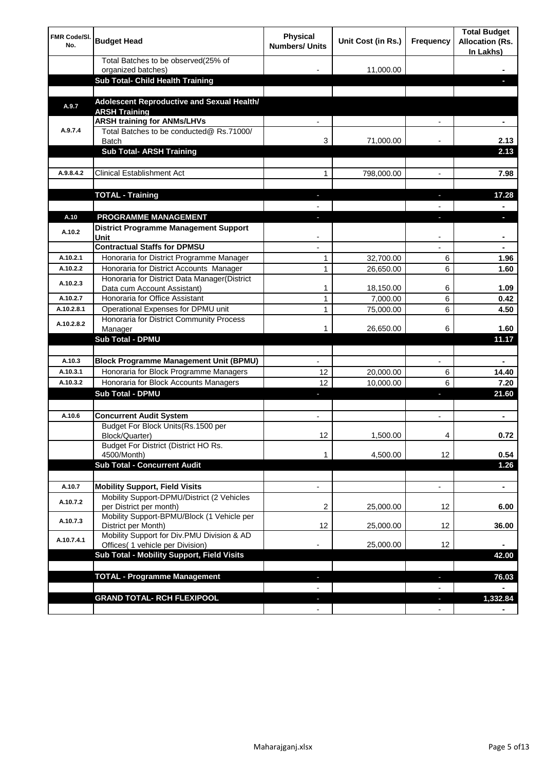| <b>FMR Code/SI.</b><br>No. | <b>Budget Head</b>                                                             | Physical<br><b>Numbers/ Units</b> | Unit Cost (in Rs.) | Frequency                | <b>Total Budget</b><br><b>Allocation (Rs.</b><br>In Lakhs) |
|----------------------------|--------------------------------------------------------------------------------|-----------------------------------|--------------------|--------------------------|------------------------------------------------------------|
|                            | Total Batches to be observed(25% of<br>organized batches)                      |                                   | 11,000.00          |                          |                                                            |
|                            | Sub Total- Child Health Training                                               |                                   |                    |                          |                                                            |
|                            |                                                                                |                                   |                    |                          |                                                            |
| A.9.7                      | Adolescent Reproductive and Sexual Health/<br><b>ARSH Training</b>             |                                   |                    |                          |                                                            |
|                            | <b>ARSH training for ANMs/LHVs</b>                                             |                                   |                    |                          |                                                            |
| A.9.7.4                    | Total Batches to be conducted@ Rs.71000/<br>Batch                              | 3                                 | 71,000.00          |                          | 2.13                                                       |
|                            | <b>Sub Total- ARSH Training</b>                                                |                                   |                    |                          | 2.13                                                       |
|                            |                                                                                |                                   |                    |                          |                                                            |
| A.9.8.4.2                  | <b>Clinical Establishment Act</b>                                              | 1                                 | 798,000.00         |                          | 7.98                                                       |
|                            |                                                                                |                                   |                    |                          |                                                            |
|                            | <b>TOTAL - Training</b>                                                        |                                   |                    |                          | 17.28                                                      |
| A.10                       | <b>PROGRAMME MANAGEMENT</b>                                                    |                                   |                    |                          |                                                            |
| A.10.2                     | <b>District Programme Management Support</b><br>Unit                           |                                   |                    |                          |                                                            |
|                            | <b>Contractual Staffs for DPMSU</b>                                            |                                   |                    |                          | ٠                                                          |
| A.10.2.1                   | Honoraria for District Programme Manager                                       | 1                                 | 32,700.00          | 6                        | 1.96                                                       |
| A.10.2.2                   | Honoraria for District Accounts Manager                                        | 1                                 | 26,650.00          | 6                        | 1.60                                                       |
| A.10.2.3                   | Honoraria for District Data Manager(District<br>Data cum Account Assistant)    | 1                                 | 18,150.00          | 6                        | 1.09                                                       |
| A.10.2.7                   | Honoraria for Office Assistant                                                 | 1                                 | 7,000.00           | 6                        | 0.42                                                       |
| A.10.2.8.1                 | Operational Expenses for DPMU unit                                             | 1                                 | 75,000.00          | 6                        | 4.50                                                       |
| A.10.2.8.2                 | Honoraria for District Community Process                                       |                                   |                    |                          |                                                            |
|                            | Manager                                                                        | 1                                 | 26,650.00          | 6                        | 1.60                                                       |
|                            | <b>Sub Total - DPMU</b>                                                        |                                   |                    |                          | 11.17                                                      |
| A.10.3                     | <b>Block Programme Management Unit (BPMU)</b>                                  |                                   |                    | $\overline{\phantom{a}}$ |                                                            |
| A.10.3.1                   | Honoraria for Block Programme Managers                                         | 12                                | 20,000.00          | 6                        | 14.40                                                      |
| A.10.3.2                   | Honoraria for Block Accounts Managers                                          | 12                                | 10,000.00          | 6                        | 7.20                                                       |
|                            | <b>Sub Total - DPMU</b>                                                        | ٠                                 |                    | r                        | 21.60                                                      |
|                            |                                                                                |                                   |                    |                          |                                                            |
| A.10.6                     | <b>Concurrent Audit System</b>                                                 |                                   |                    |                          | ۰                                                          |
|                            | Budget For Block Units(Rs.1500 per<br>Block/Quarter)                           | 12                                | 1,500.00           |                          | 0.72                                                       |
|                            | Budget For District (District HO Rs.<br>4500/Month)                            | 1                                 | 4,500.00           | 12                       | 0.54                                                       |
|                            | <b>Sub Total - Concurrent Audit</b>                                            |                                   |                    |                          | 1.26                                                       |
|                            |                                                                                |                                   |                    |                          |                                                            |
| A.10.7                     | <b>Mobility Support, Field Visits</b>                                          |                                   |                    | $\overline{\phantom{a}}$ | $\blacksquare$                                             |
| A.10.7.2                   | Mobility Support-DPMU/District (2 Vehicles<br>per District per month)          | 2                                 | 25,000.00          | 12                       | 6.00                                                       |
| A.10.7.3                   | Mobility Support-BPMU/Block (1 Vehicle per<br>District per Month)              | 12                                | 25,000.00          | 12                       | 36.00                                                      |
| A.10.7.4.1                 | Mobility Support for Div.PMU Division & AD<br>Offices( 1 vehicle per Division) |                                   | 25,000.00          | 12                       |                                                            |
|                            | Sub Total - Mobility Support, Field Visits                                     |                                   |                    |                          | 42.00                                                      |
|                            |                                                                                |                                   |                    |                          |                                                            |
|                            | <b>TOTAL - Programme Management</b>                                            |                                   |                    | ı                        | 76.03                                                      |
|                            |                                                                                |                                   |                    |                          |                                                            |
|                            | <b>GRAND TOTAL- RCH FLEXIPOOL</b>                                              | E.                                |                    | J,                       | 1,332.84                                                   |
|                            |                                                                                | $\blacksquare$                    |                    | $\overline{\phantom{a}}$ |                                                            |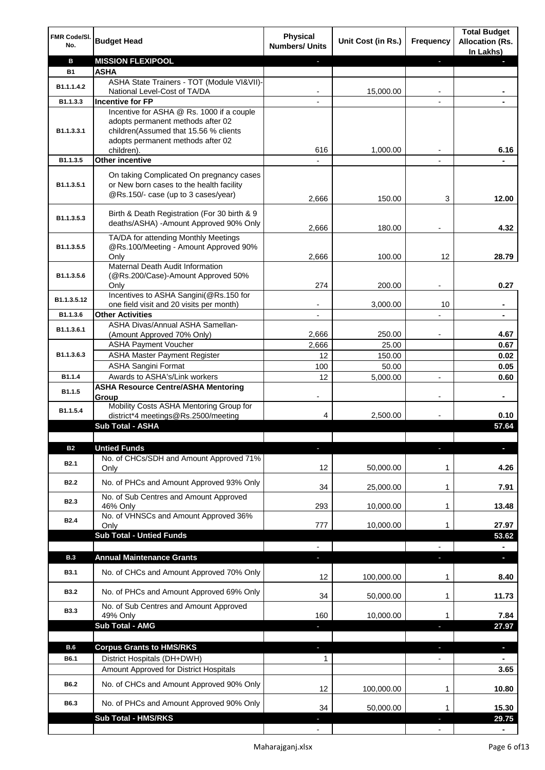| FMR Code/SI.<br>No. | <b>Budget Head</b>                                                                                                          | <b>Physical</b><br><b>Numbers/ Units</b> | Unit Cost (in Rs.) | Frequency                | <b>Total Budget</b><br><b>Allocation (Rs.</b><br>In Lakhs) |
|---------------------|-----------------------------------------------------------------------------------------------------------------------------|------------------------------------------|--------------------|--------------------------|------------------------------------------------------------|
| в                   | <b>MISSION FLEXIPOOL</b>                                                                                                    |                                          |                    | J,                       |                                                            |
| <b>B1</b>           | <b>ASHA</b>                                                                                                                 |                                          |                    |                          |                                                            |
| B1.1.1.4.2          | ASHA State Trainers - TOT (Module VI&VII)-                                                                                  |                                          |                    |                          |                                                            |
|                     | National Level-Cost of TA/DA                                                                                                |                                          | 15,000.00          |                          |                                                            |
| B1.1.3.3            | <b>Incentive for FP</b><br>Incentive for ASHA @ Rs. 1000 if a couple                                                        |                                          |                    |                          |                                                            |
| B1.1.3.3.1          | adopts permanent methods after 02<br>children(Assumed that 15.56 % clients<br>adopts permanent methods after 02             |                                          |                    |                          |                                                            |
| B1.1.3.5            | children).<br><b>Other incentive</b>                                                                                        | 616                                      | 1,000.00           |                          | 6.16                                                       |
|                     |                                                                                                                             |                                          |                    | $\blacksquare$           |                                                            |
| B1.1.3.5.1          | On taking Complicated On pregnancy cases<br>or New born cases to the health facility<br>@Rs.150/- case (up to 3 cases/year) | 2,666                                    | 150.00             | 3                        | 12.00                                                      |
| B1.1.3.5.3          | Birth & Death Registration (For 30 birth & 9<br>deaths/ASHA) -Amount Approved 90% Only                                      | 2,666                                    | 180.00             |                          | 4.32                                                       |
|                     | TA/DA for attending Monthly Meetings                                                                                        |                                          |                    |                          |                                                            |
| B1.1.3.5.5          | @Rs.100/Meeting - Amount Approved 90%                                                                                       |                                          |                    |                          |                                                            |
|                     | Only                                                                                                                        | 2,666                                    | 100.00             | 12                       | 28.79                                                      |
|                     | Maternal Death Audit Information                                                                                            |                                          |                    |                          |                                                            |
| B1.1.3.5.6          | (@Rs.200/Case)-Amount Approved 50%                                                                                          | 274                                      | 200.00             |                          | 0.27                                                       |
|                     | Only<br>Incentives to ASHA Sangini(@Rs.150 for                                                                              |                                          |                    |                          |                                                            |
| B1.1.3.5.12         | one field visit and 20 visits per month)                                                                                    |                                          | 3,000.00           | 10                       | ä,                                                         |
| B1.1.3.6            | <b>Other Activities</b>                                                                                                     | $\overline{\phantom{a}}$                 |                    | $\overline{a}$           | $\blacksquare$                                             |
| B1.1.3.6.1          | ASHA Divas/Annual ASHA Samellan-                                                                                            |                                          |                    |                          |                                                            |
|                     | (Amount Approved 70% Only)                                                                                                  | 2,666                                    | 250.00             |                          | 4.67                                                       |
|                     | <b>ASHA Payment Voucher</b>                                                                                                 | 2,666                                    | 25.00              |                          | 0.67                                                       |
| B1.1.3.6.3          | <b>ASHA Master Payment Register</b>                                                                                         | 12                                       | 150.00             |                          | 0.02                                                       |
|                     | <b>ASHA Sangini Format</b>                                                                                                  | 100                                      | 50.00              |                          | 0.05                                                       |
| B1.1.4              | Awards to ASHA's/Link workers                                                                                               | 12                                       | 5,000.00           | $\overline{a}$           | 0.60                                                       |
| B1.1.5              | <b>ASHA Resource Centre/ASHA Mentoring</b><br>Group<br>Mobility Costs ASHA Mentoring Group for                              | -                                        |                    | $\overline{\phantom{a}}$ | ٠                                                          |
| B1.1.5.4            | district*4 meetings@Rs.2500/meeting                                                                                         | 4                                        | 2,500.00           |                          | 0.10                                                       |
|                     | <b>Sub Total - ASHA</b>                                                                                                     |                                          |                    |                          | 57.64                                                      |
|                     |                                                                                                                             |                                          |                    |                          |                                                            |
| <b>B2</b>           | <b>Untied Funds</b>                                                                                                         |                                          |                    | r                        |                                                            |
| B <sub>2.1</sub>    | No. of CHCs/SDH and Amount Approved 71%<br>Only                                                                             | 12                                       | 50,000.00          | 1                        | 4.26                                                       |
| <b>B2.2</b>         | No. of PHCs and Amount Approved 93% Only                                                                                    | 34                                       | 25,000.00          | 1                        | 7.91                                                       |
|                     | No. of Sub Centres and Amount Approved                                                                                      |                                          |                    |                          |                                                            |
| <b>B2.3</b>         | 46% Only                                                                                                                    | 293                                      | 10,000.00          | 1                        | 13.48                                                      |
| <b>B2.4</b>         | No. of VHNSCs and Amount Approved 36%                                                                                       |                                          |                    |                          |                                                            |
|                     | Only                                                                                                                        | 777                                      | 10,000.00          | 1                        | 27.97                                                      |
|                     | <b>Sub Total - Untied Funds</b>                                                                                             |                                          |                    |                          | 53.62                                                      |
|                     |                                                                                                                             |                                          |                    |                          |                                                            |
| <b>B.3</b>          | <b>Annual Maintenance Grants</b>                                                                                            | J,                                       |                    |                          | $\overline{\phantom{a}}$                                   |
| <b>B3.1</b>         | No. of CHCs and Amount Approved 70% Only                                                                                    | 12                                       | 100,000.00         | 1                        | 8.40                                                       |
| <b>B3.2</b>         | No. of PHCs and Amount Approved 69% Only                                                                                    | 34                                       | 50,000.00          | 1                        | 11.73                                                      |
| <b>B3.3</b>         | No. of Sub Centres and Amount Approved<br>49% Only                                                                          | 160                                      | 10,000.00          | 1                        | 7.84                                                       |
|                     | <b>Sub Total - AMG</b>                                                                                                      |                                          |                    | п                        | 27.97                                                      |
|                     |                                                                                                                             |                                          |                    |                          |                                                            |
| <b>B.6</b>          | <b>Corpus Grants to HMS/RKS</b>                                                                                             | J,                                       |                    | ı                        | $\overline{\phantom{a}}$                                   |
| B6.1                | District Hospitals (DH+DWH)                                                                                                 | 1                                        |                    | $\overline{\phantom{0}}$ |                                                            |
|                     | Amount Approved for District Hospitals                                                                                      |                                          |                    |                          | 3.65                                                       |
| B6.2                | No. of CHCs and Amount Approved 90% Only                                                                                    | 12                                       | 100,000.00         | 1                        | 10.80                                                      |
| B6.3                | No. of PHCs and Amount Approved 90% Only<br><b>Sub Total - HMS/RKS</b>                                                      | 34                                       | 50,000.00          | 1                        | 15.30<br>29.75                                             |
|                     |                                                                                                                             |                                          |                    |                          |                                                            |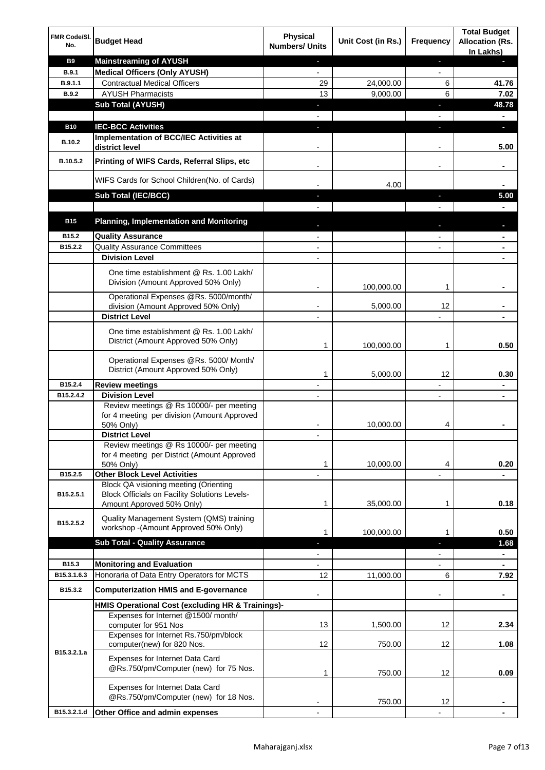| FMR Code/SI.<br>No. | <b>Budget Head</b>                                                                                                         | <b>Physical</b><br><b>Numbers/ Units</b> | Unit Cost (in Rs.) | Frequency                | <b>Total Budget</b><br><b>Allocation (Rs.</b><br>In Lakhs) |
|---------------------|----------------------------------------------------------------------------------------------------------------------------|------------------------------------------|--------------------|--------------------------|------------------------------------------------------------|
| <b>B9</b>           | <b>Mainstreaming of AYUSH</b>                                                                                              | J,                                       |                    | ٠                        | ٠                                                          |
| <b>B.9.1</b>        | <b>Medical Officers (Only AYUSH)</b>                                                                                       | $\overline{\phantom{a}}$                 |                    | $\overline{\phantom{a}}$ |                                                            |
| B.9.1.1             | <b>Contractual Medical Officers</b>                                                                                        | 29                                       | 24,000.00          | 6                        | 41.76                                                      |
| <b>B.9.2</b>        | <b>AYUSH Pharmacists</b>                                                                                                   | 13                                       | 9,000.00           | 6                        | 7.02                                                       |
|                     | <b>Sub Total (AYUSH)</b>                                                                                                   | ٠                                        |                    | J,                       | 48.78                                                      |
| <b>B10</b>          | <b>IEC-BCC Activities</b>                                                                                                  | J,                                       |                    | J,                       | ٠                                                          |
|                     | Implementation of BCC/IEC Activities at                                                                                    |                                          |                    |                          |                                                            |
| <b>B.10.2</b>       | district level                                                                                                             |                                          |                    |                          | 5.00                                                       |
| B.10.5.2            | Printing of WIFS Cards, Referral Slips, etc                                                                                |                                          |                    | $\overline{\phantom{a}}$ | ٠                                                          |
|                     | WIFS Cards for School Children(No. of Cards)                                                                               |                                          | 4.00               |                          |                                                            |
|                     | Sub Total (IEC/BCC)                                                                                                        |                                          |                    |                          | 5.00                                                       |
|                     |                                                                                                                            |                                          |                    |                          |                                                            |
| <b>B15</b>          | <b>Planning, Implementation and Monitoring</b>                                                                             |                                          |                    |                          |                                                            |
| B15.2               | <b>Quality Assurance</b>                                                                                                   |                                          |                    |                          | ۰                                                          |
| B15.2.2             | <b>Quality Assurance Committees</b>                                                                                        |                                          |                    |                          | ۰                                                          |
|                     | <b>Division Level</b>                                                                                                      |                                          |                    |                          |                                                            |
|                     | One time establishment @ Rs. 1.00 Lakh/<br>Division (Amount Approved 50% Only)                                             | $\overline{\phantom{a}}$                 | 100,000.00         | 1                        |                                                            |
|                     | Operational Expenses @Rs. 5000/month/                                                                                      |                                          |                    |                          |                                                            |
|                     | division (Amount Approved 50% Only)                                                                                        |                                          | 5,000.00           | 12                       |                                                            |
|                     | <b>District Level</b>                                                                                                      |                                          |                    |                          |                                                            |
|                     | One time establishment @ Rs. 1.00 Lakh/<br>District (Amount Approved 50% Only)                                             | 1                                        | 100,000.00         | 1                        | 0.50                                                       |
|                     | Operational Expenses @Rs. 5000/ Month/<br>District (Amount Approved 50% Only)                                              | 1                                        | 5,000.00           | 12                       | 0.30                                                       |
| B15.2.4             | <b>Review meetings</b>                                                                                                     | $\overline{a}$                           |                    | -                        | ۰                                                          |
| B15.2.4.2           | <b>Division Level</b>                                                                                                      |                                          |                    | $\overline{\phantom{a}}$ | ۰                                                          |
|                     | Review meetings @ Rs 10000/- per meeting<br>for 4 meeting per division (Amount Approved<br>50% Only)                       |                                          | 10,000.00          | 4                        |                                                            |
|                     | <b>District Level</b>                                                                                                      |                                          |                    |                          |                                                            |
|                     | Review meetings @ Rs 10000/- per meeting<br>for 4 meeting per District (Amount Approved<br>50% Only)                       | 1                                        | 10,000.00          | 4                        | 0.20                                                       |
| B15.2.5             | <b>Other Block Level Activities</b>                                                                                        |                                          |                    |                          |                                                            |
| B15.2.5.1           | Block QA visioning meeting (Orienting<br><b>Block Officials on Facility Solutions Levels-</b><br>Amount Approved 50% Only) | 1                                        | 35,000.00          | 1                        | 0.18                                                       |
| B15.2.5.2           | Quality Management System (QMS) training<br>workshop - (Amount Approved 50% Only)                                          | 1                                        | 100,000.00         | 1                        | 0.50                                                       |
|                     | <b>Sub Total - Quality Assurance</b>                                                                                       |                                          |                    | r                        | 1.68                                                       |
|                     |                                                                                                                            |                                          |                    |                          | ۰                                                          |
| B15.3               | <b>Monitoring and Evaluation</b>                                                                                           |                                          |                    |                          |                                                            |
| B15.3.1.6.3         | Honoraria of Data Entry Operators for MCTS                                                                                 | 12                                       | 11,000.00          | 6                        | 7.92                                                       |
| B15.3.2             | <b>Computerization HMIS and E-governance</b>                                                                               |                                          |                    |                          | ä,                                                         |
|                     | HMIS Operational Cost (excluding HR & Trainings)-<br>Expenses for Internet @1500/month/                                    |                                          |                    |                          |                                                            |
|                     | computer for 951 Nos                                                                                                       | 13                                       | 1,500.00           | 12                       | 2.34                                                       |
|                     | Expenses for Internet Rs.750/pm/block<br>computer(new) for 820 Nos.                                                        | 12                                       | 750.00             | 12                       | 1.08                                                       |
| B15.3.2.1.a         | Expenses for Internet Data Card<br>@Rs.750/pm/Computer (new) for 75 Nos.                                                   | 1                                        | 750.00             | 12                       | 0.09                                                       |
|                     | Expenses for Internet Data Card<br>@Rs.750/pm/Computer (new) for 18 Nos.                                                   |                                          | 750.00             | 12                       |                                                            |
| B15.3.2.1.d         | Other Office and admin expenses                                                                                            |                                          |                    |                          |                                                            |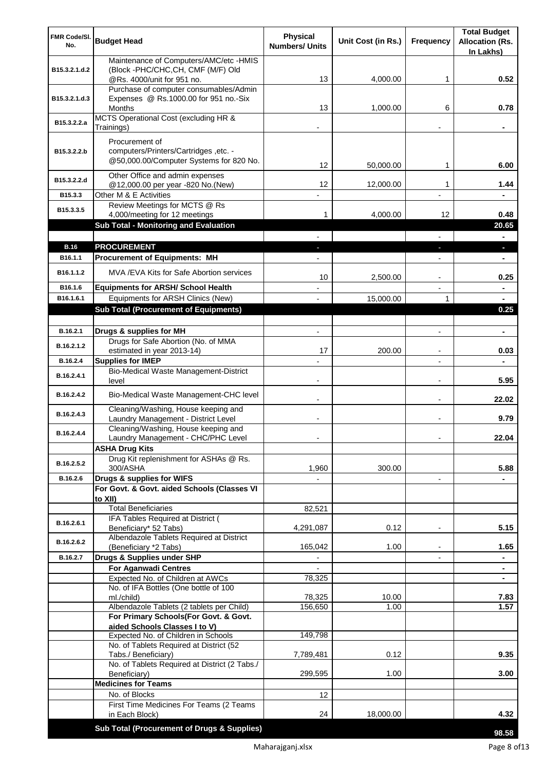| FMR Code/SI.<br>No.   | <b>Budget Head</b>                                                                 | <b>Physical</b><br><b>Numbers/ Units</b> | Unit Cost (in Rs.) | <b>Frequency</b>         | <b>Total Budget</b><br><b>Allocation (Rs.</b> |
|-----------------------|------------------------------------------------------------------------------------|------------------------------------------|--------------------|--------------------------|-----------------------------------------------|
|                       | Maintenance of Computers/AMC/etc -HMIS                                             |                                          |                    |                          | In Lakhs)                                     |
| B15.3.2.1.d.2         | (Block -PHC/CHC, CH, CMF (M/F) Old                                                 |                                          |                    |                          |                                               |
|                       | @Rs. 4000/unit for 951 no.<br>Purchase of computer consumables/Admin               | 13                                       | 4,000.00           | 1                        | 0.52                                          |
| B15.3.2.1.d.3         | Expenses @ Rs.1000.00 for 951 no.-Six                                              |                                          |                    |                          |                                               |
|                       | Months                                                                             | 13                                       | 1,000.00           | 6                        | 0.78                                          |
| B15.3.2.2.a           | MCTS Operational Cost (excluding HR &<br>Trainings)                                |                                          |                    |                          |                                               |
|                       | Procurement of                                                                     |                                          |                    |                          |                                               |
| B15.3.2.2.b           | computers/Printers/Cartridges, etc. -                                              |                                          |                    |                          |                                               |
|                       | @50,000.00/Computer Systems for 820 No.                                            | 12                                       | 50,000.00          | 1                        | 6.00                                          |
| B15.3.2.2.d           | Other Office and admin expenses                                                    |                                          |                    |                          |                                               |
| B15.3.3               | @12,000.00 per year -820 No.(New)<br>Other M & E Activities                        | 12                                       | 12,000.00          | 1                        | 1.44                                          |
|                       | Review Meetings for MCTS @ Rs                                                      |                                          |                    |                          |                                               |
| B15.3.3.5             | 4,000/meeting for 12 meetings                                                      | 1                                        | 4,000.00           | 12                       | 0.48                                          |
|                       | Sub Total - Monitoring and Evaluation                                              |                                          |                    |                          | 20.65                                         |
|                       |                                                                                    |                                          |                    |                          |                                               |
| <b>B.16</b>           | <b>PROCUREMENT</b>                                                                 |                                          |                    |                          | ×.                                            |
| B16.1.1               | <b>Procurement of Equipments: MH</b>                                               |                                          |                    |                          | ٠                                             |
| B <sub>16.1.1.2</sub> | MVA/EVA Kits for Safe Abortion services                                            | 10                                       | 2,500.00           |                          | 0.25                                          |
| B16.1.6               | <b>Equipments for ARSH/ School Health</b>                                          |                                          |                    |                          | $\blacksquare$                                |
| B16.1.6.1             | Equipments for ARSH Clinics (New)                                                  |                                          | 15,000.00          | 1                        | $\blacksquare$                                |
|                       | <b>Sub Total (Procurement of Equipments)</b>                                       |                                          |                    |                          | 0.25                                          |
| B.16.2.1              | Drugs & supplies for MH                                                            | $\blacksquare$                           |                    | $\blacksquare$           | $\blacksquare$                                |
|                       | Drugs for Safe Abortion (No. of MMA                                                |                                          |                    |                          |                                               |
| B.16.2.1.2            | estimated in year 2013-14)                                                         | 17                                       | 200.00             |                          | 0.03                                          |
| B.16.2.4              | <b>Supplies for IMEP</b>                                                           |                                          |                    |                          |                                               |
| B.16.2.4.1            | Bio-Medical Waste Management-District<br>level                                     | $\overline{\phantom{0}}$                 |                    | $\blacksquare$           | 5.95                                          |
| B.16.2.4.2            | Bio-Medical Waste Management-CHC level                                             |                                          |                    | $\blacksquare$           | 22.02                                         |
| B.16.2.4.3            | Cleaning/Washing, House keeping and<br>Laundry Management - District Level         |                                          |                    | $\blacksquare$           | 9.79                                          |
| B.16.2.4.4            | Cleaning/Washing, House keeping and<br>Laundry Management - CHC/PHC Level          |                                          |                    |                          | 22.04                                         |
|                       | <b>ASHA Drug Kits</b>                                                              |                                          |                    |                          |                                               |
| B.16.2.5.2            | Drug Kit replenishment for ASHAs @ Rs.                                             |                                          |                    |                          |                                               |
| B.16.2.6              | 300/ASHA<br>Drugs & supplies for WIFS                                              | 1,960                                    | 300.00             |                          | 5.88                                          |
|                       | For Govt. & Govt. aided Schools (Classes VI                                        |                                          |                    | $\overline{\phantom{a}}$ | $\blacksquare$                                |
|                       | to XII)                                                                            |                                          |                    |                          |                                               |
|                       | <b>Total Beneficiaries</b>                                                         | 82,521                                   |                    |                          |                                               |
| B.16.2.6.1            | IFA Tables Required at District (<br>Beneficiary* 52 Tabs)                         | 4,291,087                                | 0.12               | $\overline{a}$           | 5.15                                          |
| B.16.2.6.2            | Albendazole Tablets Required at District                                           |                                          |                    |                          |                                               |
|                       | (Beneficiary *2 Tabs)                                                              | 165,042                                  | 1.00               |                          | 1.65                                          |
| B.16.2.7              | Drugs & Supplies under SHP<br><b>For Aganwadi Centres</b>                          |                                          |                    |                          |                                               |
|                       | Expected No. of Children at AWCs                                                   | 78,325                                   |                    |                          | ٠                                             |
|                       | No. of IFA Bottles (One bottle of 100                                              |                                          |                    |                          |                                               |
|                       | ml./child)                                                                         | 78,325                                   | 10.00              |                          | 7.83                                          |
|                       | Albendazole Tablets (2 tablets per Child)<br>For Primary Schools(For Govt. & Govt. | 156,650                                  | 1.00               |                          | 1.57                                          |
|                       | aided Schools Classes I to V)                                                      |                                          |                    |                          |                                               |
|                       | Expected No. of Children in Schools                                                | 149,798                                  |                    |                          |                                               |
|                       | No. of Tablets Required at District (52                                            |                                          | 0.12               |                          | 9.35                                          |
|                       | Tabs./ Beneficiary)<br>No. of Tablets Required at District (2 Tabs./               | 7,789,481                                |                    |                          |                                               |
|                       | Beneficiary)                                                                       | 299,595                                  | 1.00               |                          | 3.00                                          |
|                       | <b>Medicines for Teams</b>                                                         |                                          |                    |                          |                                               |
|                       | No. of Blocks                                                                      | 12                                       |                    |                          |                                               |
|                       | First Time Medicines For Teams (2 Teams<br>in Each Block)                          | 24                                       | 18,000.00          |                          | 4.32                                          |
|                       | Sub Total (Procurement of Drugs & Supplies)                                        |                                          |                    |                          |                                               |
|                       |                                                                                    |                                          |                    |                          | 98.58                                         |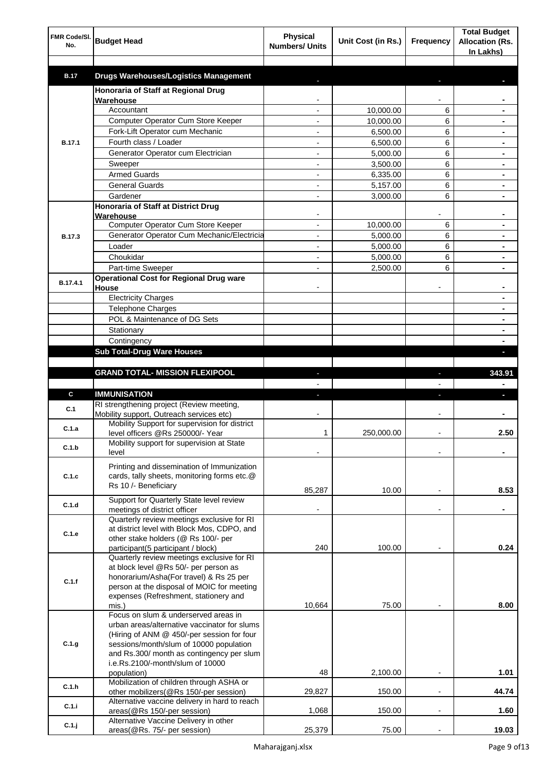| FMR Code/SI.<br>No. | <b>Budget Head</b>                                                                    | <b>Physical</b><br><b>Numbers/ Units</b> | Unit Cost (in Rs.) | Frequency                | <b>Total Budget</b><br><b>Allocation (Rs.</b><br>In Lakhs) |
|---------------------|---------------------------------------------------------------------------------------|------------------------------------------|--------------------|--------------------------|------------------------------------------------------------|
| <b>B.17</b>         | <b>Drugs Warehouses/Logistics Management</b>                                          |                                          |                    |                          |                                                            |
|                     | Honoraria of Staff at Regional Drug                                                   |                                          |                    |                          |                                                            |
|                     | Warehouse                                                                             |                                          |                    |                          |                                                            |
|                     | Accountant                                                                            |                                          | 10,000.00          | 6                        |                                                            |
|                     | Computer Operator Cum Store Keeper                                                    |                                          | 10,000.00          | 6                        |                                                            |
|                     | Fork-Lift Operator cum Mechanic                                                       |                                          | 6,500.00           | 6                        |                                                            |
| <b>B.17.1</b>       | Fourth class / Loader                                                                 |                                          | 6,500.00           | 6                        |                                                            |
|                     | Generator Operator cum Electrician                                                    |                                          | 5,000.00           | 6                        |                                                            |
|                     | Sweeper                                                                               |                                          | 3,500.00           | 6                        |                                                            |
|                     | <b>Armed Guards</b>                                                                   |                                          | 6,335.00           | 6                        |                                                            |
|                     | <b>General Guards</b>                                                                 |                                          | 5,157.00           | 6                        |                                                            |
|                     | Gardener                                                                              |                                          | 3,000.00           | 6                        |                                                            |
|                     | Honoraria of Staff at District Drug<br>Warehouse                                      |                                          |                    |                          |                                                            |
|                     | Computer Operator Cum Store Keeper                                                    |                                          | 10,000.00          | 6                        |                                                            |
| <b>B.17.3</b>       | Generator Operator Cum Mechanic/Electricia                                            |                                          | 5,000.00           | 6                        |                                                            |
|                     | Loader                                                                                |                                          | 5,000.00           | 6                        |                                                            |
|                     | Choukidar                                                                             |                                          | 5,000.00           | 6                        |                                                            |
|                     | Part-time Sweeper                                                                     |                                          | 2,500.00           | 6                        |                                                            |
| B.17.4.1            | <b>Operational Cost for Regional Drug ware</b><br>House                               |                                          |                    |                          |                                                            |
|                     | <b>Electricity Charges</b>                                                            |                                          |                    |                          | ۰                                                          |
|                     | <b>Telephone Charges</b>                                                              |                                          |                    |                          | ۰                                                          |
|                     | POL & Maintenance of DG Sets                                                          |                                          |                    |                          | ۰                                                          |
|                     | Stationary                                                                            |                                          |                    |                          | ۰                                                          |
|                     | Contingency                                                                           |                                          |                    |                          |                                                            |
|                     | <b>Sub Total-Drug Ware Houses</b>                                                     |                                          |                    |                          |                                                            |
|                     |                                                                                       |                                          |                    |                          |                                                            |
|                     | <b>GRAND TOTAL- MISSION FLEXIPOOL</b>                                                 |                                          |                    | ı                        | 343.91                                                     |
|                     |                                                                                       |                                          |                    |                          |                                                            |
| C                   | <b>IMMUNISATION</b>                                                                   |                                          |                    |                          |                                                            |
| C.1                 | RI strengthening project (Review meeting,<br>Mobility support, Outreach services etc) |                                          |                    |                          |                                                            |
| C.1.a               | Mobility Support for supervision for district                                         |                                          |                    |                          |                                                            |
|                     | level officers @Rs 250000/- Year                                                      | 1                                        | 250,000.00         |                          | 2.50                                                       |
| C.1.b               | Mobility support for supervision at State<br>level                                    |                                          |                    |                          |                                                            |
|                     | Printing and dissemination of Immunization                                            |                                          |                    |                          |                                                            |
| C.1.c               | cards, tally sheets, monitoring forms etc.@                                           |                                          |                    |                          |                                                            |
|                     | Rs 10 /- Beneficiary                                                                  | 85,287                                   | 10.00              |                          | 8.53                                                       |
|                     | Support for Quarterly State level review                                              |                                          |                    |                          |                                                            |
| C.1.d               | meetings of district officer                                                          |                                          |                    | $\blacksquare$           |                                                            |
|                     | Quarterly review meetings exclusive for RI                                            |                                          |                    |                          |                                                            |
| C.1.e               | at district level with Block Mos, CDPO, and                                           |                                          |                    |                          |                                                            |
|                     | other stake holders (@ Rs 100/- per                                                   | 240                                      | 100.00             |                          | 0.24                                                       |
|                     | participant(5 participant / block)<br>Quarterly review meetings exclusive for RI      |                                          |                    |                          |                                                            |
|                     | at block level @Rs 50/- per person as                                                 |                                          |                    |                          |                                                            |
| C.1.f               | honorarium/Asha(For travel) & Rs 25 per                                               |                                          |                    |                          |                                                            |
|                     | person at the disposal of MOIC for meeting                                            |                                          |                    |                          |                                                            |
|                     | expenses (Refreshment, stationery and                                                 |                                          |                    |                          |                                                            |
|                     | mis.)                                                                                 | 10,664                                   | 75.00              |                          | 8.00                                                       |
|                     | Focus on slum & underserved areas in<br>urban areas/alternative vaccinator for slums  |                                          |                    |                          |                                                            |
|                     | (Hiring of ANM @ 450/-per session for four                                            |                                          |                    |                          |                                                            |
| C.1.g               | sessions/month/slum of 10000 population                                               |                                          |                    |                          |                                                            |
|                     | and Rs.300/ month as contingency per slum                                             |                                          |                    |                          |                                                            |
|                     | i.e.Rs.2100/-month/slum of 10000                                                      |                                          |                    |                          |                                                            |
|                     | population)                                                                           | 48                                       | 2,100.00           |                          | 1.01                                                       |
| C.1.h               | Mobilization of children through ASHA or<br>other mobilizers(@Rs 150/-per session)    | 29,827                                   | 150.00             | $\overline{a}$           | 44.74                                                      |
|                     | Alternative vaccine delivery in hard to reach                                         |                                          |                    |                          |                                                            |
| C.1.i               | areas(@Rs 150/-per session)                                                           | 1,068                                    | 150.00             | $\overline{\phantom{a}}$ | 1.60                                                       |
| $C.1.$ j            | Alternative Vaccine Delivery in other                                                 |                                          |                    |                          |                                                            |
|                     | areas(@Rs. 75/- per session)                                                          | 25,379                                   | 75.00              |                          | 19.03                                                      |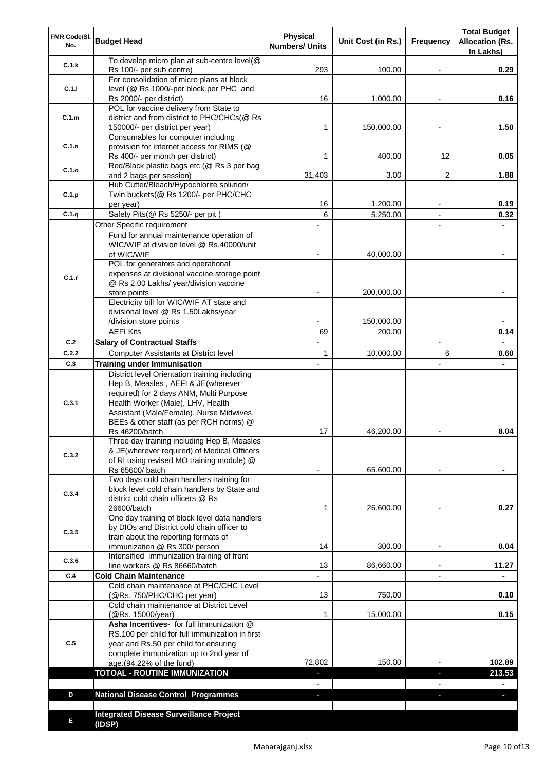| FMR Code/SI.<br>No. | <b>Budget Head</b>                                                                                                                                                              | <b>Physical</b><br><b>Numbers/ Units</b> | Unit Cost (in Rs.) | Frequency                | <b>Total Budget</b><br><b>Allocation (Rs.</b><br>In Lakhs) |
|---------------------|---------------------------------------------------------------------------------------------------------------------------------------------------------------------------------|------------------------------------------|--------------------|--------------------------|------------------------------------------------------------|
| C.1.k               | To develop micro plan at sub-centre level(@<br>Rs 100/- per sub centre)                                                                                                         | 293                                      | 100.00             |                          | 0.29                                                       |
| C.1.1               | For consolidation of micro plans at block<br>level (@ Rs 1000/-per block per PHC and                                                                                            | 16                                       |                    |                          | 0.16                                                       |
|                     | Rs 2000/- per district)<br>POL for vaccine delivery from State to                                                                                                               |                                          | 1,000.00           |                          |                                                            |
| C.1.m               | district and from district to PHC/CHCs(@ Rs<br>150000/- per district per year)                                                                                                  | 1                                        | 150,000.00         |                          | 1.50                                                       |
| C.1.n               | Consumables for computer including<br>provision for internet access for RIMS (@<br>Rs 400/- per month per district)                                                             | 1                                        | 400.00             | 12                       | 0.05                                                       |
| C.1.o               | Red/Black plastic bags etc.(@ Rs 3 per bag<br>and 2 bags per session)                                                                                                           | 31,403                                   | 3.00               | 2                        | 1.88                                                       |
| C.1.p               | Hub Cutter/Bleach/Hypochlorite solution/<br>Twin buckets(@ Rs 1200/- per PHC/CHC                                                                                                |                                          |                    |                          |                                                            |
| C.1.q               | per year)                                                                                                                                                                       | 16<br>6                                  | 1,200.00           |                          | 0.19                                                       |
|                     | Safety Pits(@ Rs 5250/- per pit)<br>Other Specific requirement                                                                                                                  |                                          | 5,250.00           | $\blacksquare$           | 0.32                                                       |
|                     | Fund for annual maintenance operation of                                                                                                                                        |                                          |                    |                          |                                                            |
|                     | WIC/WIF at division level @ Rs.40000/unit                                                                                                                                       |                                          |                    |                          |                                                            |
|                     | of WIC/WIF                                                                                                                                                                      |                                          | 40,000.00          |                          |                                                            |
|                     | POL for generators and operational                                                                                                                                              |                                          |                    |                          |                                                            |
| C.1.r               | expenses at divisional vaccine storage point<br>@ Rs 2.00 Lakhs/ year/division vaccine                                                                                          |                                          |                    |                          |                                                            |
|                     | store points                                                                                                                                                                    |                                          | 200,000.00         |                          |                                                            |
|                     | Electricity bill for WIC/WIF AT state and                                                                                                                                       |                                          |                    |                          |                                                            |
|                     | divisional level @ Rs 1.50Lakhs/year                                                                                                                                            |                                          |                    |                          |                                                            |
|                     | /division store points                                                                                                                                                          |                                          | 150,000.00         |                          |                                                            |
| C.2                 | <b>AEFI Kits</b>                                                                                                                                                                | 69                                       | 200.00             | $\overline{\phantom{a}}$ | 0.14                                                       |
| C.2.2               | <b>Salary of Contractual Staffs</b><br>Computer Assistants at District level                                                                                                    | $\mathbf{1}$                             | 10,000.00          | 6                        | 0.60                                                       |
| C.3                 | <b>Training under Immunisation</b>                                                                                                                                              | $\overline{a}$                           |                    | $\overline{a}$           |                                                            |
|                     | District level Orientation training including                                                                                                                                   |                                          |                    |                          |                                                            |
| C.3.1               | Hep B, Measles, AEFI & JE(wherever<br>required) for 2 days ANM, Multi Purpose<br>Health Worker (Male), LHV, Health<br>Assistant (Male/Female), Nurse Midwives,                  |                                          |                    |                          |                                                            |
|                     | BEEs & other staff (as per RCH norms) @                                                                                                                                         |                                          |                    |                          |                                                            |
|                     | Rs 46200/batch                                                                                                                                                                  | 17                                       | 46,200.00          |                          | 8.04                                                       |
| C.3.2               | Three day training including Hep B, Measles<br>& JE(wherever required) of Medical Officers<br>of RI using revised MO training module) @                                         |                                          |                    |                          |                                                            |
|                     | Rs 65600/ batch                                                                                                                                                                 |                                          | 65,600.00          |                          |                                                            |
| C.3.4               | Two days cold chain handlers training for<br>block level cold chain handlers by State and<br>district cold chain officers @ Rs                                                  |                                          |                    |                          |                                                            |
|                     | 26600/batch<br>One day training of block level data handlers                                                                                                                    | 1                                        | 26,600.00          |                          | 0.27                                                       |
| C.3.5               | by DIOs and District cold chain officer to<br>train about the reporting formats of                                                                                              |                                          |                    |                          |                                                            |
|                     | immunization @ Rs 300/ person                                                                                                                                                   | 14                                       | 300.00             | $\overline{\phantom{a}}$ | 0.04                                                       |
| C.3.6               | Intensified immunization training of front                                                                                                                                      |                                          |                    |                          |                                                            |
| C.4                 | line workers @ Rs 86660/batch<br><b>Cold Chain Maintenance</b>                                                                                                                  | 13                                       | 86,660.00          | $\blacksquare$           | 11.27                                                      |
|                     | Cold chain maintenance at PHC/CHC Level                                                                                                                                         |                                          |                    |                          |                                                            |
|                     | (@Rs. 750/PHC/CHC per year)                                                                                                                                                     | 13                                       | 750.00             |                          | 0.10                                                       |
|                     | Cold chain maintenance at District Level<br>(@Rs. 15000/year)                                                                                                                   | 1                                        | 15,000.00          |                          | 0.15                                                       |
| C.5                 | Asha Incentives- for full immunization @<br>RS.100 per child for full immunization in first<br>year and Rs.50 per child for ensuring<br>complete immunization up to 2nd year of |                                          |                    |                          |                                                            |
|                     | age.(94.22% of the fund)                                                                                                                                                        | 72,802                                   | 150.00             |                          | 102.89                                                     |
|                     | <b>TOTOAL - ROUTINE IMMUNIZATION</b>                                                                                                                                            |                                          |                    |                          | 213.53                                                     |
|                     |                                                                                                                                                                                 |                                          |                    |                          |                                                            |
| D                   | <b>National Disease Control Programmes</b>                                                                                                                                      |                                          |                    |                          |                                                            |
|                     |                                                                                                                                                                                 |                                          |                    |                          |                                                            |
| Е                   | <b>Integrated Disease Surveillance Project</b><br>(IDSP)                                                                                                                        |                                          |                    |                          |                                                            |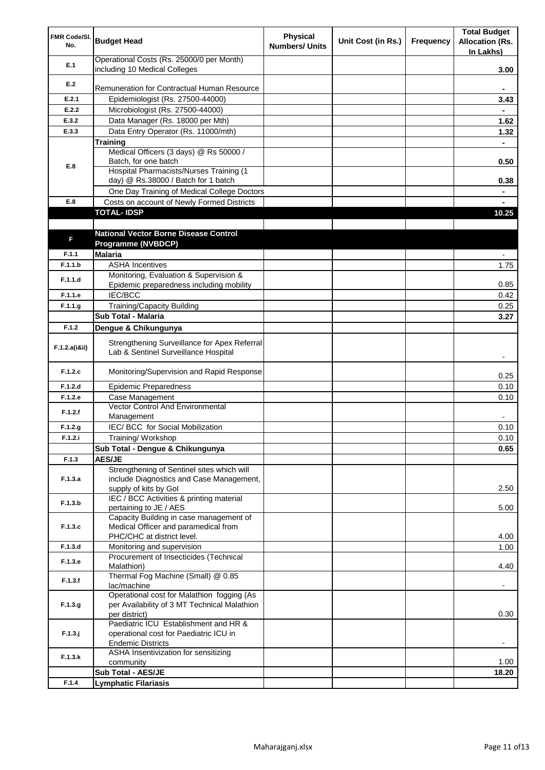| FMR Code/SI.<br>No. | <b>Budget Head</b>                                                                                          | <b>Physical</b><br><b>Numbers/ Units</b> | Unit Cost (in Rs.) | Frequency | <b>Total Budget</b><br><b>Allocation (Rs.</b><br>In Lakhs) |
|---------------------|-------------------------------------------------------------------------------------------------------------|------------------------------------------|--------------------|-----------|------------------------------------------------------------|
| E.1                 | Operational Costs (Rs. 25000/0 per Month)<br>including 10 Medical Colleges                                  |                                          |                    |           | 3.00                                                       |
| E.2                 |                                                                                                             |                                          |                    |           |                                                            |
|                     | Remuneration for Contractual Human Resource                                                                 |                                          |                    |           |                                                            |
| E.2.1               | Epidemiologist (Rs. 27500-44000)                                                                            |                                          |                    |           | 3.43                                                       |
| E.2.2               | Microbiologist (Rs. 27500-44000)                                                                            |                                          |                    |           |                                                            |
| E.3.2               | Data Manager (Rs. 18000 per Mth)                                                                            |                                          |                    |           | 1.62                                                       |
| E.3.3               | Data Entry Operator (Rs. 11000/mth)                                                                         |                                          |                    |           | 1.32                                                       |
|                     | <b>Training</b><br>Medical Officers (3 days) @ Rs 50000 /                                                   |                                          |                    |           |                                                            |
|                     | Batch, for one batch                                                                                        |                                          |                    |           | 0.50                                                       |
| E.8                 | Hospital Pharmacists/Nurses Training (1                                                                     |                                          |                    |           |                                                            |
|                     | day) @ Rs.38000 / Batch for 1 batch                                                                         |                                          |                    |           | 0.38                                                       |
|                     | One Day Training of Medical College Doctors                                                                 |                                          |                    |           |                                                            |
| E.8                 | Costs on account of Newly Formed Districts                                                                  |                                          |                    |           |                                                            |
|                     | <b>TOTAL-IDSP</b>                                                                                           |                                          |                    |           | 10.25                                                      |
|                     |                                                                                                             |                                          |                    |           |                                                            |
| F                   | <b>National Vector Borne Disease Control</b><br><b>Programme (NVBDCP)</b>                                   |                                          |                    |           |                                                            |
| F.1.1               | <b>Malaria</b>                                                                                              |                                          |                    |           |                                                            |
| F.1.1.b             | <b>ASHA Incentives</b>                                                                                      |                                          |                    |           | 1.75                                                       |
|                     | Monitoring, Evaluation & Supervision &                                                                      |                                          |                    |           |                                                            |
| F.1.1.d             | Epidemic preparedness including mobility                                                                    |                                          |                    |           | 0.85                                                       |
| F.1.1.e             | <b>IEC/BCC</b>                                                                                              |                                          |                    |           | 0.42                                                       |
| F.1.1.g             | <b>Training/Capacity Building</b>                                                                           |                                          |                    |           | 0.25                                                       |
|                     | Sub Total - Malaria                                                                                         |                                          |                    |           | 3.27                                                       |
| F.1.2               | Dengue & Chikungunya                                                                                        |                                          |                    |           |                                                            |
| F.1.2.a(iⅈ)         | Strengthening Surveillance for Apex Referral<br>Lab & Sentinel Surveillance Hospital                        |                                          |                    |           |                                                            |
| F.1.2.c             | Monitoring/Supervision and Rapid Response                                                                   |                                          |                    |           | 0.25                                                       |
| F.1.2.d             | <b>Epidemic Preparedness</b>                                                                                |                                          |                    |           | 0.10                                                       |
| F.1.2.e             | Case Management                                                                                             |                                          |                    |           | 0.10                                                       |
| F.1.2.f             | Vector Control And Environmental<br>Management                                                              |                                          |                    |           |                                                            |
| F.1.2.g             | IEC/ BCC for Social Mobilization                                                                            |                                          |                    |           | 0.10                                                       |
| F.1.2.i             | Training/Workshop                                                                                           |                                          |                    |           | 0.10                                                       |
|                     | Sub Total - Dengue & Chikungunya                                                                            |                                          |                    |           | 0.65                                                       |
| F.1.3               | <b>AES/JE</b>                                                                                               |                                          |                    |           |                                                            |
|                     | Strengthening of Sentinel sites which will                                                                  |                                          |                    |           |                                                            |
| F.1.3.a             | include Diagnostics and Case Management,<br>supply of kits by Gol                                           |                                          |                    |           | 2.50                                                       |
|                     | IEC / BCC Activities & printing material                                                                    |                                          |                    |           |                                                            |
| F.1.3.b             | pertaining to JE / AES                                                                                      |                                          |                    |           | 5.00                                                       |
|                     | Capacity Building in case management of                                                                     |                                          |                    |           |                                                            |
| F.1.3.c             | Medical Officer and paramedical from                                                                        |                                          |                    |           |                                                            |
|                     | PHC/CHC at district level.                                                                                  |                                          |                    |           | 4.00                                                       |
| F.1.3.d             | Monitoring and supervision                                                                                  |                                          |                    |           | 1.00                                                       |
| F.1.3.e             | Procurement of Insecticides (Technical<br>Malathion)                                                        |                                          |                    |           | 4.40                                                       |
| F.1.3.f             | Thermal Fog Machine (Small) @ 0.85<br>lac/machine                                                           |                                          |                    |           |                                                            |
| F.1.3.g             | Operational cost for Malathion fogging (As<br>per Availability of 3 MT Technical Malathion<br>per district) |                                          |                    |           | 0.30                                                       |
| $F.1.3.$ j          | Paediatric ICU Establishment and HR &<br>operational cost for Paediatric ICU in                             |                                          |                    |           |                                                            |
| F.1.3.k             | <b>Endemic Districts</b><br>ASHA Insentivization for sensitizing                                            |                                          |                    |           |                                                            |
|                     | community<br>Sub Total - AES/JE                                                                             |                                          |                    |           | 1.00                                                       |
| F.1.4               | <b>Lymphatic Filariasis</b>                                                                                 |                                          |                    |           | 18.20                                                      |
|                     |                                                                                                             |                                          |                    |           |                                                            |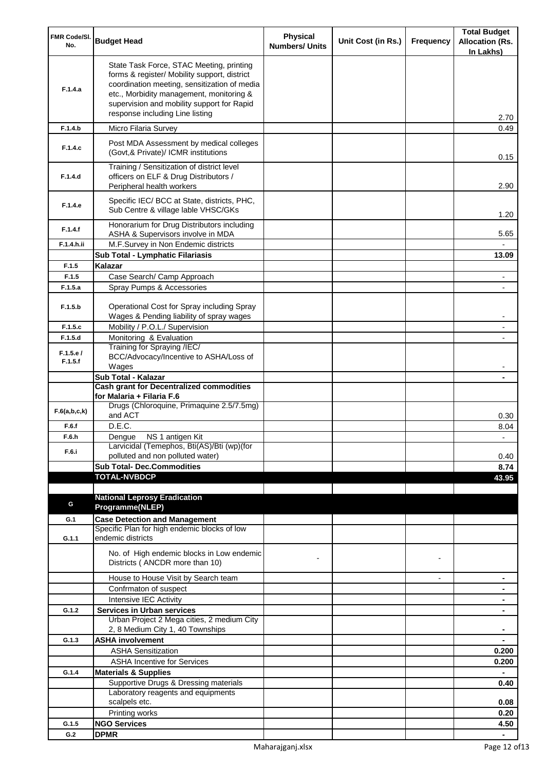| FMR Code/SI.<br>No. | <b>Budget Head</b>                                                                                                                                                                                                                                                    | <b>Physical</b><br><b>Numbers/ Units</b> | Unit Cost (in Rs.) | Frequency      | <b>Total Budget</b><br><b>Allocation (Rs.</b><br>In Lakhs) |
|---------------------|-----------------------------------------------------------------------------------------------------------------------------------------------------------------------------------------------------------------------------------------------------------------------|------------------------------------------|--------------------|----------------|------------------------------------------------------------|
| F.1.4.a             | State Task Force, STAC Meeting, printing<br>forms & register/ Mobility support, district<br>coordination meeting, sensitization of media<br>etc., Morbidity management, monitoring &<br>supervision and mobility support for Rapid<br>response including Line listing |                                          |                    |                | 2.70                                                       |
| F.1.4.b             | Micro Filaria Survey                                                                                                                                                                                                                                                  |                                          |                    |                | 0.49                                                       |
| F.1.4.c             | Post MDA Assessment by medical colleges<br>(Govt, & Private)/ ICMR institutions                                                                                                                                                                                       |                                          |                    |                | 0.15                                                       |
| F.1.4.d             | Training / Sensitization of district level<br>officers on ELF & Drug Distributors /<br>Peripheral health workers                                                                                                                                                      |                                          |                    |                | 2.90                                                       |
| F.1.4.e             | Specific IEC/ BCC at State, districts, PHC,<br>Sub Centre & village lable VHSC/GKs                                                                                                                                                                                    |                                          |                    |                | 1.20                                                       |
| F.1.4.f             | Honorarium for Drug Distributors including<br>ASHA & Supervisors involve in MDA                                                                                                                                                                                       |                                          |                    |                | 5.65                                                       |
| F.1.4.h.ii          | M.F.Survey in Non Endemic districts                                                                                                                                                                                                                                   |                                          |                    |                |                                                            |
|                     | Sub Total - Lymphatic Filariasis                                                                                                                                                                                                                                      |                                          |                    |                | 13.09                                                      |
| F.1.5<br>F.1.5      | Kalazar<br>Case Search/ Camp Approach                                                                                                                                                                                                                                 |                                          |                    |                |                                                            |
| F.1.5.a             | Spray Pumps & Accessories                                                                                                                                                                                                                                             |                                          |                    |                |                                                            |
| F.1.5.b             | Operational Cost for Spray including Spray                                                                                                                                                                                                                            |                                          |                    |                |                                                            |
|                     | Wages & Pending liability of spray wages                                                                                                                                                                                                                              |                                          |                    |                |                                                            |
| F.1.5.c<br>F.1.5.d  | Mobility / P.O.L./ Supervision<br>Monitoring & Evaluation                                                                                                                                                                                                             |                                          |                    |                |                                                            |
|                     | Training for Spraying /IEC/                                                                                                                                                                                                                                           |                                          |                    |                |                                                            |
| F.1.5.e/<br>F.1.5.f | BCC/Advocacy/Incentive to ASHA/Loss of<br>Wages                                                                                                                                                                                                                       |                                          |                    |                |                                                            |
|                     | Sub Total - Kalazar                                                                                                                                                                                                                                                   |                                          |                    |                |                                                            |
|                     | <b>Cash grant for Decentralized commodities</b><br>for Malaria + Filaria F.6                                                                                                                                                                                          |                                          |                    |                |                                                            |
| F.6(a,b,c,k)        | Drugs (Chloroquine, Primaquine 2.5/7.5mg)<br>and ACT                                                                                                                                                                                                                  |                                          |                    |                | 0.30                                                       |
| F.6.f               | D.E.C.                                                                                                                                                                                                                                                                |                                          |                    |                | 8.04                                                       |
| F.6.h<br>F.6.i      | Dengue NS 1 antigen Kit<br>Larvicidal (Temephos, Bti(AS)/Bti (wp)(for<br>polluted and non polluted water)                                                                                                                                                             |                                          |                    |                | 0.40                                                       |
|                     | <b>Sub Total- Dec.Commodities</b>                                                                                                                                                                                                                                     |                                          |                    |                | 8.74                                                       |
|                     | <b>TOTAL-NVBDCP</b>                                                                                                                                                                                                                                                   |                                          |                    |                | 43.95                                                      |
|                     |                                                                                                                                                                                                                                                                       |                                          |                    |                |                                                            |
| G                   | <b>National Leprosy Eradication</b>                                                                                                                                                                                                                                   |                                          |                    |                |                                                            |
|                     | Programme(NLEP)                                                                                                                                                                                                                                                       |                                          |                    |                |                                                            |
| G.1                 | <b>Case Detection and Management</b><br>Specific Plan for high endemic blocks of low                                                                                                                                                                                  |                                          |                    |                |                                                            |
| G.1.1               | endemic districts                                                                                                                                                                                                                                                     |                                          |                    |                |                                                            |
|                     | No. of High endemic blocks in Low endemic<br>Districts (ANCDR more than 10)                                                                                                                                                                                           |                                          |                    |                |                                                            |
|                     | House to House Visit by Search team                                                                                                                                                                                                                                   |                                          |                    | $\blacksquare$ | ٠                                                          |
|                     | Confrmaton of suspect                                                                                                                                                                                                                                                 |                                          |                    |                | ۰                                                          |
|                     | Intensive IEC Activity                                                                                                                                                                                                                                                |                                          |                    |                | ٠                                                          |
| G.1.2               | <b>Services in Urban services</b><br>Urban Project 2 Mega cities, 2 medium City                                                                                                                                                                                       |                                          |                    |                | ۰                                                          |
|                     | 2, 8 Medium City 1, 40 Townships                                                                                                                                                                                                                                      |                                          |                    |                |                                                            |
| G.1.3               | <b>ASHA involvement</b>                                                                                                                                                                                                                                               |                                          |                    |                |                                                            |
|                     | <b>ASHA Sensitization</b>                                                                                                                                                                                                                                             |                                          |                    |                | 0.200                                                      |
|                     | <b>ASHA Incentive for Services</b>                                                                                                                                                                                                                                    |                                          |                    |                | 0.200                                                      |
| G.1.4               | <b>Materials &amp; Supplies</b>                                                                                                                                                                                                                                       |                                          |                    |                |                                                            |
|                     | Supportive Drugs & Dressing materials                                                                                                                                                                                                                                 |                                          |                    |                | 0.40                                                       |
|                     | Laboratory reagents and equipments                                                                                                                                                                                                                                    |                                          |                    |                |                                                            |
|                     | scalpels etc.<br>Printing works                                                                                                                                                                                                                                       |                                          |                    |                | 0.08<br>0.20                                               |
| G.1.5               | <b>NGO Services</b>                                                                                                                                                                                                                                                   |                                          |                    |                | 4.50                                                       |
| G.2                 | <b>DPMR</b>                                                                                                                                                                                                                                                           |                                          |                    |                |                                                            |